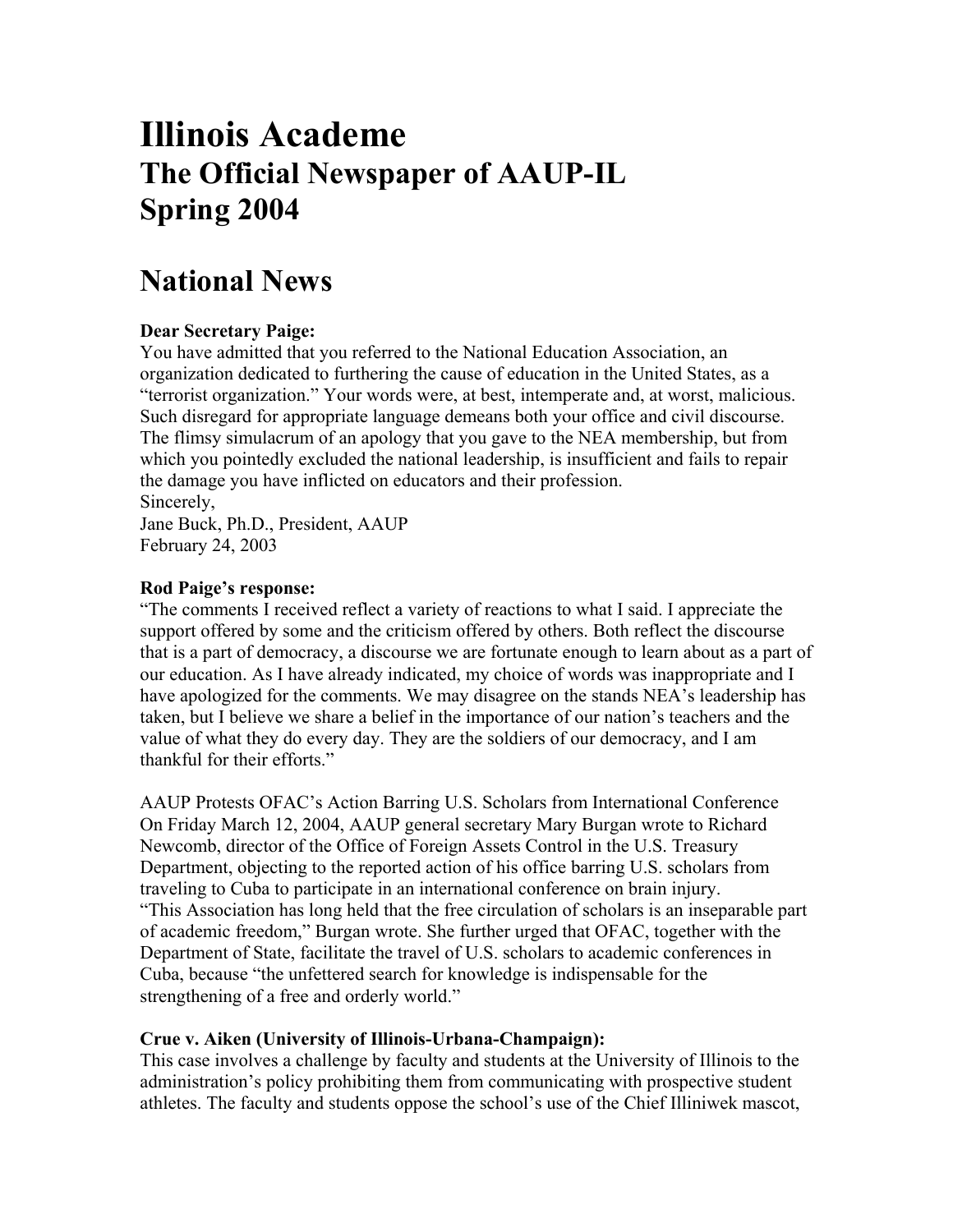# **Illinois Academe The Official Newspaper of AAUP-IL Spring 2004**

## **National News**

### **Dear Secretary Paige:**

You have admitted that you referred to the National Education Association, an organization dedicated to furthering the cause of education in the United States, as a "terrorist organization." Your words were, at best, intemperate and, at worst, malicious. Such disregard for appropriate language demeans both your office and civil discourse. The flimsy simulacrum of an apology that you gave to the NEA membership, but from which you pointedly excluded the national leadership, is insufficient and fails to repair the damage you have inflicted on educators and their profession. Sincerely,

Jane Buck, Ph.D., President, AAUP February 24, 2003

#### **Rod Paige's response:**

"The comments I received reflect a variety of reactions to what I said. I appreciate the support offered by some and the criticism offered by others. Both reflect the discourse that is a part of democracy, a discourse we are fortunate enough to learn about as a part of our education. As I have already indicated, my choice of words was inappropriate and I have apologized for the comments. We may disagree on the stands NEA's leadership has taken, but I believe we share a belief in the importance of our nation's teachers and the value of what they do every day. They are the soldiers of our democracy, and I am thankful for their efforts."

AAUP Protests OFAC's Action Barring U.S. Scholars from International Conference On Friday March 12, 2004, AAUP general secretary Mary Burgan wrote to Richard Newcomb, director of the Office of Foreign Assets Control in the U.S. Treasury Department, objecting to the reported action of his office barring U.S. scholars from traveling to Cuba to participate in an international conference on brain injury. "This Association has long held that the free circulation of scholars is an inseparable part of academic freedom," Burgan wrote. She further urged that OFAC, together with the Department of State, facilitate the travel of U.S. scholars to academic conferences in Cuba, because "the unfettered search for knowledge is indispensable for the strengthening of a free and orderly world."

#### **Crue v. Aiken (University of Illinois-Urbana-Champaign):**

This case involves a challenge by faculty and students at the University of Illinois to the administration's policy prohibiting them from communicating with prospective student athletes. The faculty and students oppose the school's use of the Chief Illiniwek mascot,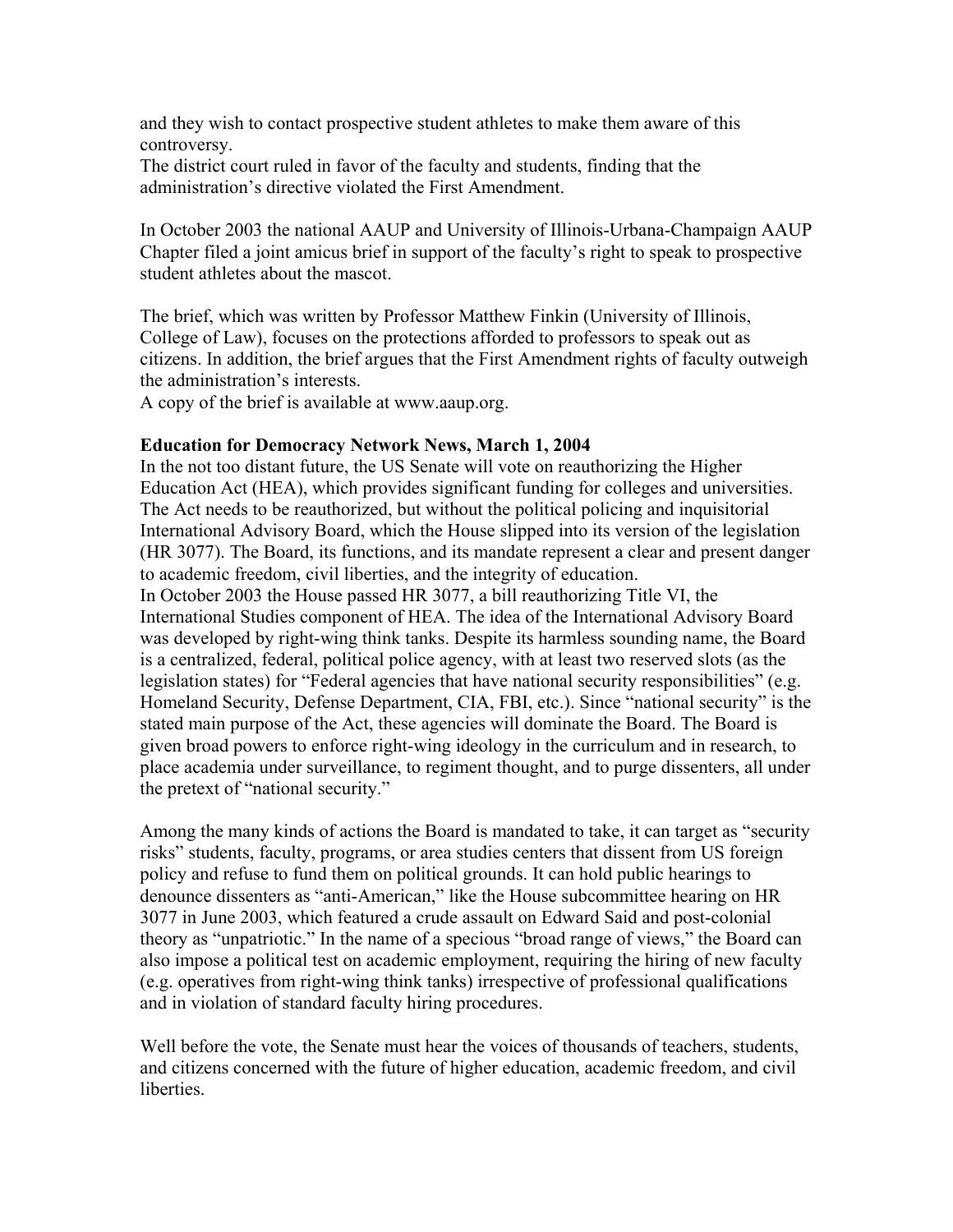and they wish to contact prospective student athletes to make them aware of this controversy.

The district court ruled in favor of the faculty and students, finding that the administration's directive violated the First Amendment.

In October 2003 the national AAUP and University of Illinois-Urbana-Champaign AAUP Chapter filed a joint amicus brief in support of the faculty's right to speak to prospective student athletes about the mascot.

The brief, which was written by Professor Matthew Finkin (University of Illinois, College of Law), focuses on the protections afforded to professors to speak out as citizens. In addition, the brief argues that the First Amendment rights of faculty outweigh the administration's interests.

A copy of the brief is available at www.aaup.org.

#### **Education for Democracy Network News, March 1, 2004**

In the not too distant future, the US Senate will vote on reauthorizing the Higher Education Act (HEA), which provides significant funding for colleges and universities. The Act needs to be reauthorized, but without the political policing and inquisitorial International Advisory Board, which the House slipped into its version of the legislation (HR 3077). The Board, its functions, and its mandate represent a clear and present danger to academic freedom, civil liberties, and the integrity of education.

In October 2003 the House passed HR 3077, a bill reauthorizing Title VI, the International Studies component of HEA. The idea of the International Advisory Board was developed by right-wing think tanks. Despite its harmless sounding name, the Board is a centralized, federal, political police agency, with at least two reserved slots (as the legislation states) for "Federal agencies that have national security responsibilities" (e.g. Homeland Security, Defense Department, CIA, FBI, etc.). Since "national security" is the stated main purpose of the Act, these agencies will dominate the Board. The Board is given broad powers to enforce right-wing ideology in the curriculum and in research, to place academia under surveillance, to regiment thought, and to purge dissenters, all under the pretext of "national security."

Among the many kinds of actions the Board is mandated to take, it can target as "security risks" students, faculty, programs, or area studies centers that dissent from US foreign policy and refuse to fund them on political grounds. It can hold public hearings to denounce dissenters as "anti-American," like the House subcommittee hearing on HR 3077 in June 2003, which featured a crude assault on Edward Said and post-colonial theory as "unpatriotic." In the name of a specious "broad range of views," the Board can also impose a political test on academic employment, requiring the hiring of new faculty (e.g. operatives from right-wing think tanks) irrespective of professional qualifications and in violation of standard faculty hiring procedures.

Well before the vote, the Senate must hear the voices of thousands of teachers, students, and citizens concerned with the future of higher education, academic freedom, and civil liberties.